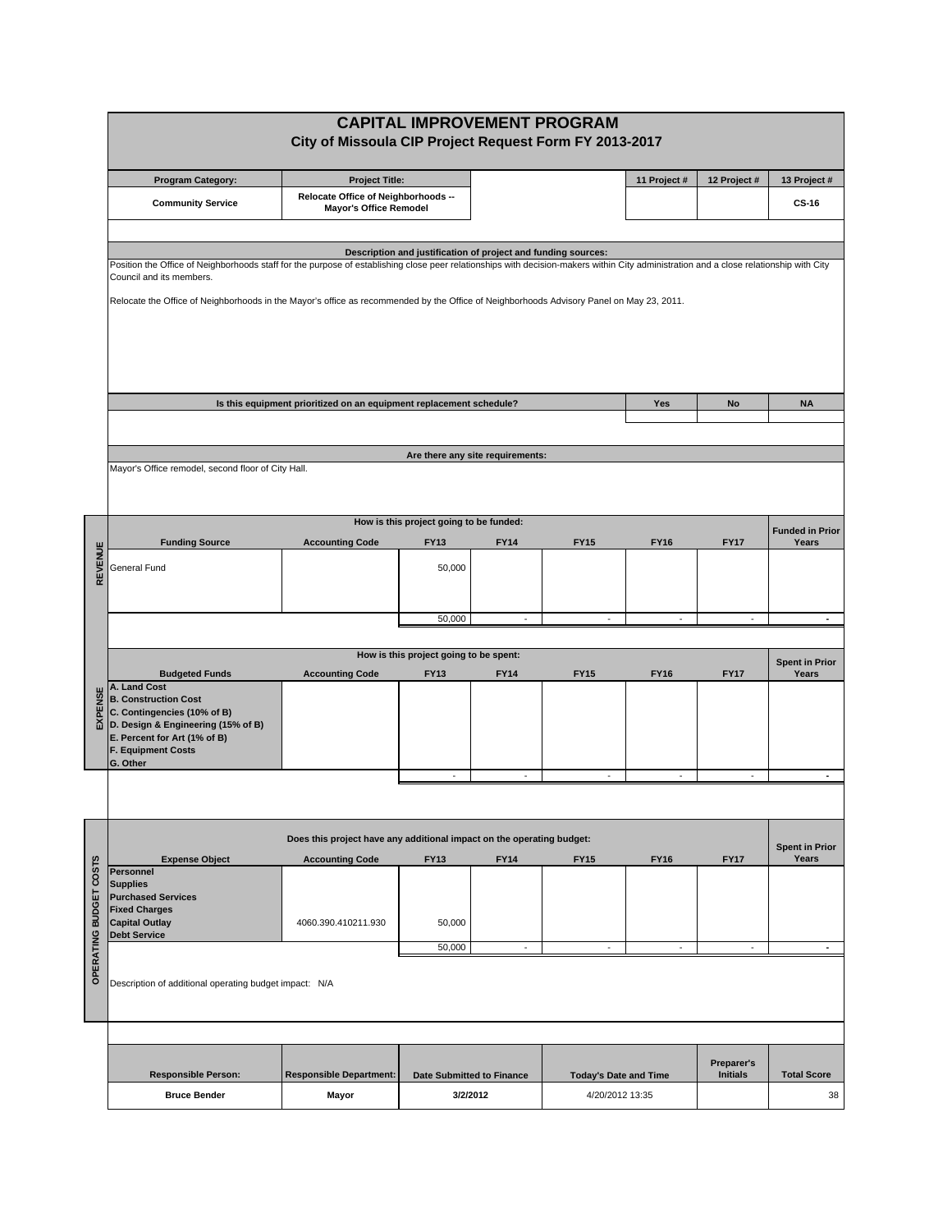|                        | <b>CAPITAL IMPROVEMENT PROGRAM</b>                                                                                                                                                                                 |                                                                                                                                          |                                         |                                                               |                              |                |                               |                                 |  |  |  |
|------------------------|--------------------------------------------------------------------------------------------------------------------------------------------------------------------------------------------------------------------|------------------------------------------------------------------------------------------------------------------------------------------|-----------------------------------------|---------------------------------------------------------------|------------------------------|----------------|-------------------------------|---------------------------------|--|--|--|
|                        |                                                                                                                                                                                                                    | City of Missoula CIP Project Request Form FY 2013-2017                                                                                   |                                         |                                                               |                              |                |                               |                                 |  |  |  |
|                        | <b>Program Category:</b>                                                                                                                                                                                           | <b>Project Title:</b>                                                                                                                    |                                         |                                                               |                              | 11 Project #   | 12 Project #                  | 13 Project #                    |  |  |  |
|                        | <b>Community Service</b>                                                                                                                                                                                           | Relocate Office of Neighborhoods --<br><b>Mayor's Office Remodel</b>                                                                     |                                         |                                                               |                              |                |                               | <b>CS-16</b>                    |  |  |  |
|                        |                                                                                                                                                                                                                    |                                                                                                                                          |                                         |                                                               |                              |                |                               |                                 |  |  |  |
|                        |                                                                                                                                                                                                                    |                                                                                                                                          |                                         | Description and justification of project and funding sources: |                              |                |                               |                                 |  |  |  |
|                        | Position the Office of Neighborhoods staff for the purpose of establishing close peer relationships with decision-makers within City administration and a close relationship with City<br>Council and its members. |                                                                                                                                          |                                         |                                                               |                              |                |                               |                                 |  |  |  |
|                        |                                                                                                                                                                                                                    | Relocate the Office of Neighborhoods in the Mayor's office as recommended by the Office of Neighborhoods Advisory Panel on May 23, 2011. |                                         |                                                               |                              |                |                               |                                 |  |  |  |
|                        |                                                                                                                                                                                                                    |                                                                                                                                          |                                         |                                                               |                              |                |                               |                                 |  |  |  |
|                        |                                                                                                                                                                                                                    |                                                                                                                                          |                                         |                                                               |                              |                |                               |                                 |  |  |  |
|                        |                                                                                                                                                                                                                    |                                                                                                                                          |                                         |                                                               |                              |                |                               |                                 |  |  |  |
|                        |                                                                                                                                                                                                                    | Is this equipment prioritized on an equipment replacement schedule?                                                                      |                                         |                                                               |                              |                |                               |                                 |  |  |  |
|                        |                                                                                                                                                                                                                    |                                                                                                                                          |                                         |                                                               |                              | Yes            | No                            | <b>NA</b>                       |  |  |  |
|                        |                                                                                                                                                                                                                    |                                                                                                                                          |                                         |                                                               |                              |                |                               |                                 |  |  |  |
|                        | Mayor's Office remodel, second floor of City Hall.                                                                                                                                                                 |                                                                                                                                          |                                         | Are there any site requirements:                              |                              |                |                               |                                 |  |  |  |
|                        |                                                                                                                                                                                                                    |                                                                                                                                          |                                         |                                                               |                              |                |                               |                                 |  |  |  |
|                        |                                                                                                                                                                                                                    |                                                                                                                                          | How is this project going to be funded: |                                                               |                              |                |                               |                                 |  |  |  |
|                        | <b>Funding Source</b>                                                                                                                                                                                              | <b>Accounting Code</b>                                                                                                                   | <b>FY13</b>                             | <b>FY14</b>                                                   | <b>FY15</b>                  | <b>FY16</b>    | <b>FY17</b>                   | <b>Funded in Prior</b><br>Years |  |  |  |
| REVENUE                | General Fund                                                                                                                                                                                                       |                                                                                                                                          | 50,000                                  |                                                               |                              |                |                               |                                 |  |  |  |
|                        |                                                                                                                                                                                                                    |                                                                                                                                          |                                         |                                                               |                              |                |                               |                                 |  |  |  |
|                        |                                                                                                                                                                                                                    |                                                                                                                                          | 50,000                                  |                                                               | ÷.                           | $\sim$         | L.                            | $\blacksquare$                  |  |  |  |
|                        |                                                                                                                                                                                                                    |                                                                                                                                          |                                         |                                                               |                              |                |                               |                                 |  |  |  |
|                        |                                                                                                                                                                                                                    |                                                                                                                                          | How is this project going to be spent:  |                                                               |                              |                |                               | <b>Spent in Prior</b>           |  |  |  |
|                        | <b>Budgeted Funds</b><br>A. Land Cost                                                                                                                                                                              | <b>Accounting Code</b>                                                                                                                   | <b>FY13</b>                             | <b>FY14</b>                                                   | <b>FY15</b>                  | <b>FY16</b>    | <b>FY17</b>                   | Years                           |  |  |  |
| EXPENSE                | <b>B. Construction Cost</b><br>C. Contingencies (10% of B)                                                                                                                                                         |                                                                                                                                          |                                         |                                                               |                              |                |                               |                                 |  |  |  |
|                        | D. Design & Engineering (15% of B)<br>E. Percent for Art (1% of B)                                                                                                                                                 |                                                                                                                                          |                                         |                                                               |                              |                |                               |                                 |  |  |  |
|                        | <b>F. Equipment Costs</b><br>G. Other                                                                                                                                                                              |                                                                                                                                          |                                         |                                                               |                              |                |                               |                                 |  |  |  |
|                        |                                                                                                                                                                                                                    |                                                                                                                                          |                                         |                                                               | $\blacksquare$               | $\blacksquare$ | $\blacksquare$                |                                 |  |  |  |
|                        |                                                                                                                                                                                                                    |                                                                                                                                          |                                         |                                                               |                              |                |                               |                                 |  |  |  |
|                        |                                                                                                                                                                                                                    | Does this project have any additional impact on the operating budget:                                                                    |                                         |                                                               |                              |                |                               |                                 |  |  |  |
|                        | <b>Expense Object</b>                                                                                                                                                                                              | <b>Accounting Code</b>                                                                                                                   | <b>FY13</b>                             | <b>FY14</b>                                                   | <b>FY15</b>                  | <b>FY16</b>    | <b>FY17</b>                   | <b>Spent in Prior</b><br>Years  |  |  |  |
|                        | <b>Personnel</b><br><b>Supplies</b>                                                                                                                                                                                |                                                                                                                                          |                                         |                                                               |                              |                |                               |                                 |  |  |  |
|                        | <b>Purchased Services</b><br><b>Fixed Charges</b>                                                                                                                                                                  |                                                                                                                                          |                                         |                                                               |                              |                |                               |                                 |  |  |  |
|                        | <b>Capital Outlay</b><br><b>Debt Service</b>                                                                                                                                                                       | 4060.390.410211.930                                                                                                                      | 50,000                                  |                                                               |                              |                |                               |                                 |  |  |  |
| OPERATING BUDGET COSTS |                                                                                                                                                                                                                    |                                                                                                                                          | 50,000                                  | $\blacksquare$                                                | $\omega$                     | $\omega$       | $\omega$                      | $\blacksquare$                  |  |  |  |
|                        | Description of additional operating budget impact: N/A                                                                                                                                                             |                                                                                                                                          |                                         |                                                               |                              |                |                               |                                 |  |  |  |
|                        |                                                                                                                                                                                                                    |                                                                                                                                          |                                         |                                                               |                              |                |                               |                                 |  |  |  |
|                        |                                                                                                                                                                                                                    |                                                                                                                                          |                                         |                                                               |                              |                |                               |                                 |  |  |  |
|                        |                                                                                                                                                                                                                    |                                                                                                                                          |                                         |                                                               |                              |                |                               |                                 |  |  |  |
|                        |                                                                                                                                                                                                                    |                                                                                                                                          |                                         |                                                               |                              |                |                               |                                 |  |  |  |
|                        | <b>Responsible Person:</b>                                                                                                                                                                                         | <b>Responsible Department:</b>                                                                                                           | <b>Date Submitted to Finance</b>        |                                                               | <b>Today's Date and Time</b> |                | Preparer's<br><b>Initials</b> | <b>Total Score</b>              |  |  |  |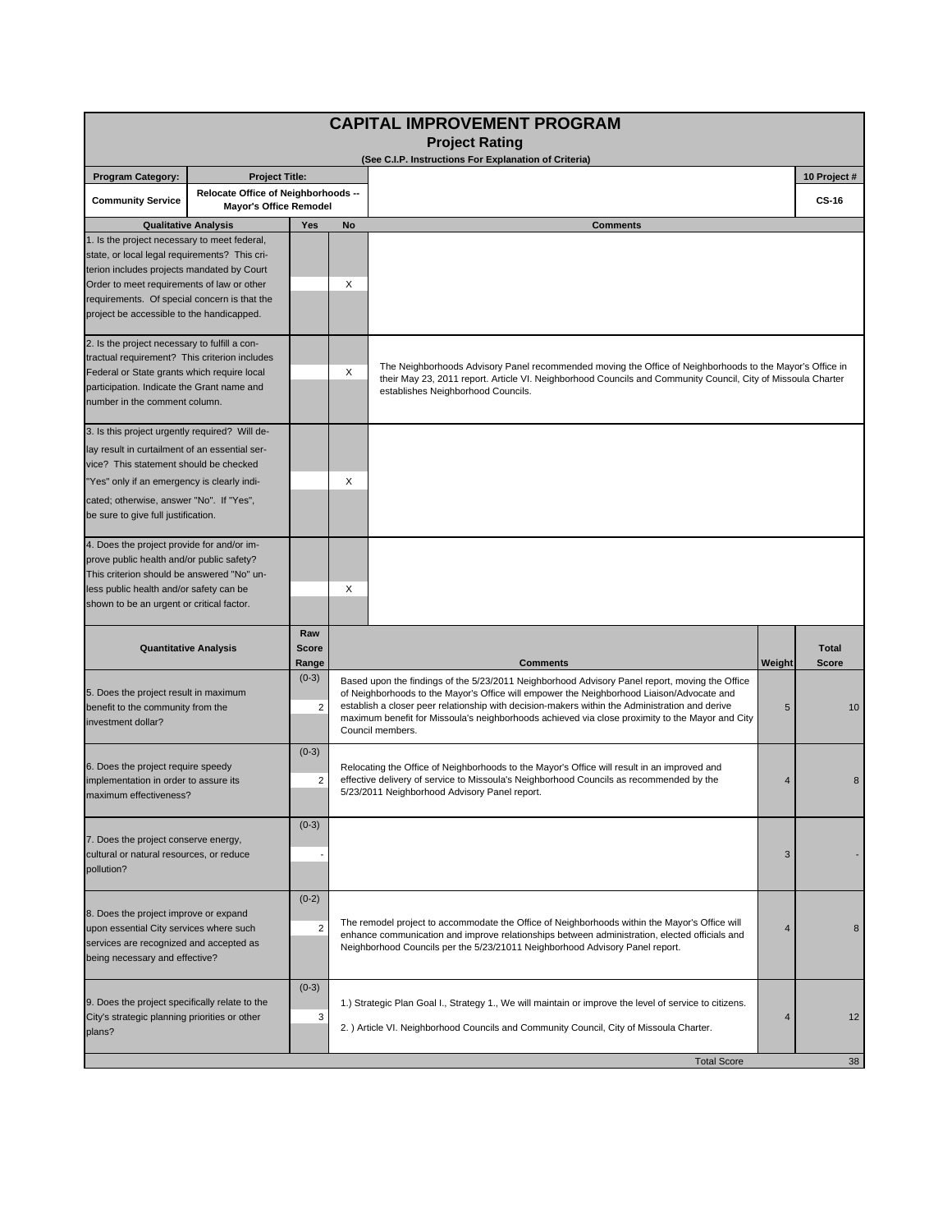| <b>CAPITAL IMPROVEMENT PROGRAM</b><br><b>Project Rating</b><br>(See C.I.P. Instructions For Explanation of Criteria)<br><b>Project Title:</b><br>10 Project #<br><b>Program Category:</b><br>Relocate Office of Neighborhoods --<br><b>Community Service</b><br><b>CS-16</b><br><b>Mayor's Office Remodel</b><br>Yes<br><b>Qualitative Analysis</b><br>No<br><b>Comments</b><br>1. Is the project necessary to meet federal,<br>state, or local legal requirements? This cri-<br>terion includes projects mandated by Court<br>X<br>Order to meet requirements of law or other<br>requirements. Of special concern is that the<br>project be accessible to the handicapped.<br>2. Is the project necessary to fulfill a con-<br>tractual requirement? This criterion includes<br>The Neighborhoods Advisory Panel recommended moving the Office of Neighborhoods to the Mayor's Office in<br>X<br>Federal or State grants which require local<br>their May 23, 2011 report. Article VI. Neighborhood Councils and Community Council, City of Missoula Charter<br>participation. Indicate the Grant name and<br>establishes Neighborhood Councils.<br>number in the comment column.<br>3. Is this project urgently required? Will de- |                              |                              |   |                                                                                                                                                                                                                                                                                                                                                                                                                      |                |                              |  |
|--------------------------------------------------------------------------------------------------------------------------------------------------------------------------------------------------------------------------------------------------------------------------------------------------------------------------------------------------------------------------------------------------------------------------------------------------------------------------------------------------------------------------------------------------------------------------------------------------------------------------------------------------------------------------------------------------------------------------------------------------------------------------------------------------------------------------------------------------------------------------------------------------------------------------------------------------------------------------------------------------------------------------------------------------------------------------------------------------------------------------------------------------------------------------------------------------------------------------------------|------------------------------|------------------------------|---|----------------------------------------------------------------------------------------------------------------------------------------------------------------------------------------------------------------------------------------------------------------------------------------------------------------------------------------------------------------------------------------------------------------------|----------------|------------------------------|--|
|                                                                                                                                                                                                                                                                                                                                                                                                                                                                                                                                                                                                                                                                                                                                                                                                                                                                                                                                                                                                                                                                                                                                                                                                                                      |                              |                              |   |                                                                                                                                                                                                                                                                                                                                                                                                                      |                |                              |  |
|                                                                                                                                                                                                                                                                                                                                                                                                                                                                                                                                                                                                                                                                                                                                                                                                                                                                                                                                                                                                                                                                                                                                                                                                                                      |                              |                              |   |                                                                                                                                                                                                                                                                                                                                                                                                                      |                |                              |  |
|                                                                                                                                                                                                                                                                                                                                                                                                                                                                                                                                                                                                                                                                                                                                                                                                                                                                                                                                                                                                                                                                                                                                                                                                                                      |                              |                              |   |                                                                                                                                                                                                                                                                                                                                                                                                                      |                |                              |  |
|                                                                                                                                                                                                                                                                                                                                                                                                                                                                                                                                                                                                                                                                                                                                                                                                                                                                                                                                                                                                                                                                                                                                                                                                                                      |                              |                              |   |                                                                                                                                                                                                                                                                                                                                                                                                                      |                |                              |  |
|                                                                                                                                                                                                                                                                                                                                                                                                                                                                                                                                                                                                                                                                                                                                                                                                                                                                                                                                                                                                                                                                                                                                                                                                                                      |                              |                              |   |                                                                                                                                                                                                                                                                                                                                                                                                                      |                |                              |  |
|                                                                                                                                                                                                                                                                                                                                                                                                                                                                                                                                                                                                                                                                                                                                                                                                                                                                                                                                                                                                                                                                                                                                                                                                                                      |                              |                              |   |                                                                                                                                                                                                                                                                                                                                                                                                                      |                |                              |  |
| lay result in curtailment of an essential ser-<br>vice? This statement should be checked<br>"Yes" only if an emergency is clearly indi-<br>cated; otherwise, answer "No". If "Yes",<br>be sure to give full justification.                                                                                                                                                                                                                                                                                                                                                                                                                                                                                                                                                                                                                                                                                                                                                                                                                                                                                                                                                                                                           |                              |                              | X |                                                                                                                                                                                                                                                                                                                                                                                                                      |                |                              |  |
| 4. Does the project provide for and/or im-<br>prove public health and/or public safety?<br>This criterion should be answered "No" un-<br>less public health and/or safety can be<br>shown to be an urgent or critical factor.                                                                                                                                                                                                                                                                                                                                                                                                                                                                                                                                                                                                                                                                                                                                                                                                                                                                                                                                                                                                        |                              |                              | X |                                                                                                                                                                                                                                                                                                                                                                                                                      |                |                              |  |
|                                                                                                                                                                                                                                                                                                                                                                                                                                                                                                                                                                                                                                                                                                                                                                                                                                                                                                                                                                                                                                                                                                                                                                                                                                      | <b>Quantitative Analysis</b> | Raw<br><b>Score</b><br>Range |   | <b>Comments</b>                                                                                                                                                                                                                                                                                                                                                                                                      | Weight         | <b>Total</b><br><b>Score</b> |  |
| 5. Does the project result in maximum<br>benefit to the community from the<br>investment dollar?                                                                                                                                                                                                                                                                                                                                                                                                                                                                                                                                                                                                                                                                                                                                                                                                                                                                                                                                                                                                                                                                                                                                     |                              | $(0-3)$<br>2                 |   | Based upon the findings of the 5/23/2011 Neighborhood Advisory Panel report, moving the Office<br>of Neighborhoods to the Mayor's Office will empower the Neighborhood Liaison/Advocate and<br>establish a closer peer relationship with decision-makers within the Administration and derive<br>maximum benefit for Missoula's neighborhoods achieved via close proximity to the Mayor and City<br>Council members. |                | 10                           |  |
| 6. Does the project require speedy<br>implementation in order to assure its<br>maximum effectiveness?                                                                                                                                                                                                                                                                                                                                                                                                                                                                                                                                                                                                                                                                                                                                                                                                                                                                                                                                                                                                                                                                                                                                |                              | $(0-3)$<br>2                 |   | Relocating the Office of Neighborhoods to the Mayor's Office will result in an improved and<br>effective delivery of service to Missoula's Neighborhood Councils as recommended by the<br>5/23/2011 Neighborhood Advisory Panel report.                                                                                                                                                                              |                | 8                            |  |
| 7. Does the project conserve energy,<br>cultural or natural resources, or reduce<br>pollution?                                                                                                                                                                                                                                                                                                                                                                                                                                                                                                                                                                                                                                                                                                                                                                                                                                                                                                                                                                                                                                                                                                                                       |                              | $(0-3)$                      |   |                                                                                                                                                                                                                                                                                                                                                                                                                      | 3              |                              |  |
| 8. Does the project improve or expand<br>upon essential City services where such<br>services are recognized and accepted as<br>being necessary and effective?                                                                                                                                                                                                                                                                                                                                                                                                                                                                                                                                                                                                                                                                                                                                                                                                                                                                                                                                                                                                                                                                        |                              | $(0-2)$<br>$\overline{2}$    |   | The remodel project to accommodate the Office of Neighborhoods within the Mayor's Office will<br>enhance communication and improve relationships between administration, elected officials and<br>Neighborhood Councils per the 5/23/21011 Neighborhood Advisory Panel report.                                                                                                                                       | $\overline{4}$ | 8                            |  |
| 9. Does the project specifically relate to the<br>City's strategic planning priorities or other<br>plans?                                                                                                                                                                                                                                                                                                                                                                                                                                                                                                                                                                                                                                                                                                                                                                                                                                                                                                                                                                                                                                                                                                                            |                              | $(0-3)$<br>3                 |   | 1.) Strategic Plan Goal I., Strategy 1., We will maintain or improve the level of service to citizens.<br>2. ) Article VI. Neighborhood Councils and Community Council, City of Missoula Charter.                                                                                                                                                                                                                    | 4              | 12                           |  |
|                                                                                                                                                                                                                                                                                                                                                                                                                                                                                                                                                                                                                                                                                                                                                                                                                                                                                                                                                                                                                                                                                                                                                                                                                                      |                              |                              |   | <b>Total Score</b>                                                                                                                                                                                                                                                                                                                                                                                                   |                | 38                           |  |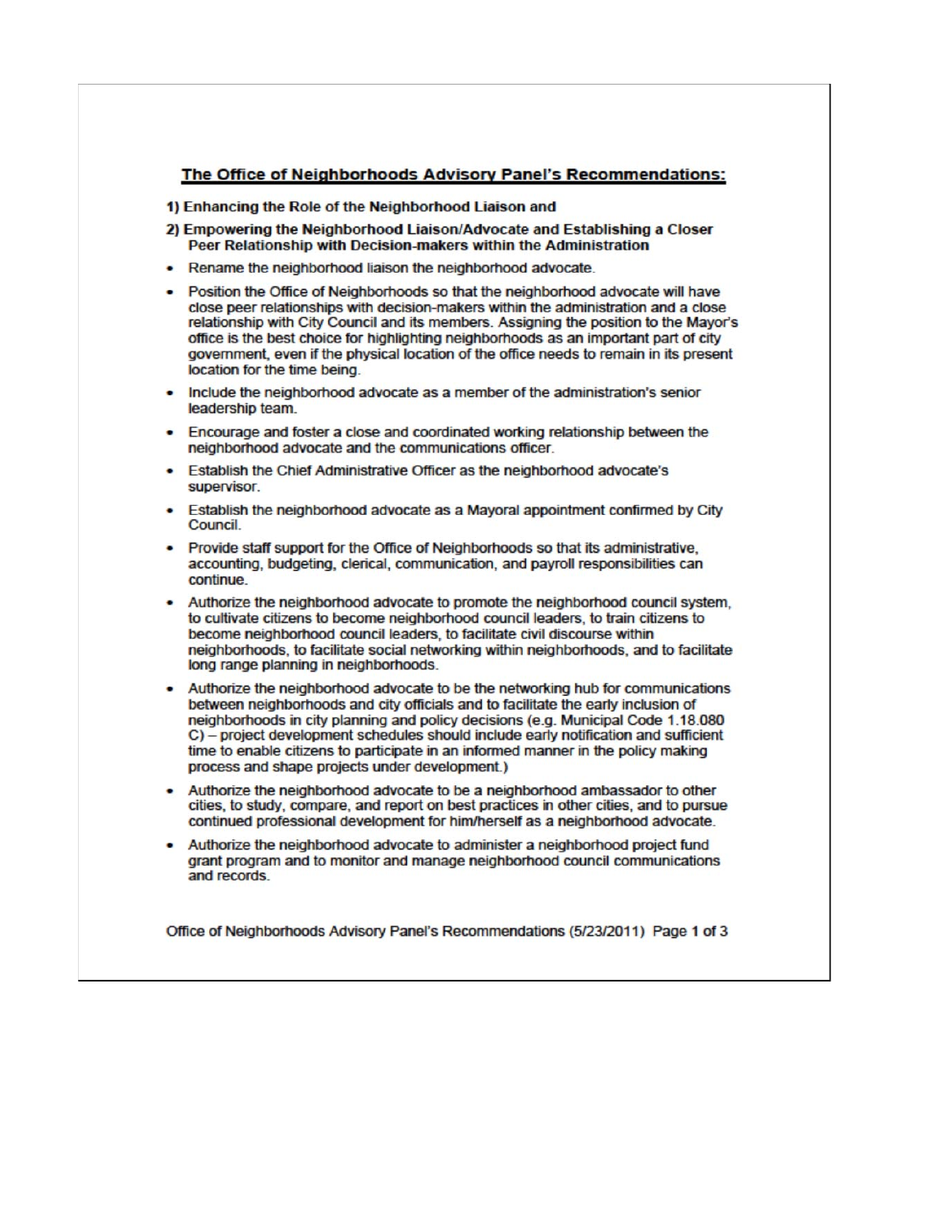## The Office of Neighborhoods Advisory Panel's Recommendations:

## 1) Enhancing the Role of the Neighborhood Liaison and

- 2) Empowering the Neighborhood Liaison/Advocate and Establishing a Closer Peer Relationship with Decision-makers within the Administration
- Rename the neighborhood liaison the neighborhood advocate.
- Position the Office of Neighborhoods so that the neighborhood advocate will have close peer relationships with decision-makers within the administration and a close relationship with City Council and its members. Assigning the position to the Mayor's office is the best choice for highlighting neighborhoods as an important part of city government, even if the physical location of the office needs to remain in its present location for the time being.
- Include the neighborhood advocate as a member of the administration's senior leadership team.
- Encourage and foster a close and coordinated working relationship between the neighborhood advocate and the communications officer.
- Establish the Chief Administrative Officer as the neighborhood advocate's supervisor.
- Establish the neighborhood advocate as a Mayoral appointment confirmed by City Council.
- Provide staff support for the Office of Neighborhoods so that its administrative, accounting, budgeting, clerical, communication, and payroll responsibilities can continue.
- Authorize the neighborhood advocate to promote the neighborhood council system. to cultivate citizens to become neighborhood council leaders, to train citizens to become neighborhood council leaders, to facilitate civil discourse within neighborhoods, to facilitate social networking within neighborhoods, and to facilitate long range planning in neighborhoods.
- Authorize the neighborhood advocate to be the networking hub for communications between neighborhoods and city officials and to facilitate the early inclusion of neighborhoods in city planning and policy decisions (e.g. Municipal Code 1.18.080) C) - project development schedules should include early notification and sufficient time to enable citizens to participate in an informed manner in the policy making process and shape projects under development.)
- . Authorize the neighborhood advocate to be a neighborhood ambassador to other cities, to study, compare, and report on best practices in other cities, and to pursue continued professional development for him/herself as a neighborhood advocate.
- . Authorize the neighborhood advocate to administer a neighborhood project fund grant program and to monitor and manage neighborhood council communications and records.

Office of Neighborhoods Advisory Panel's Recommendations (5/23/2011) Page 1 of 3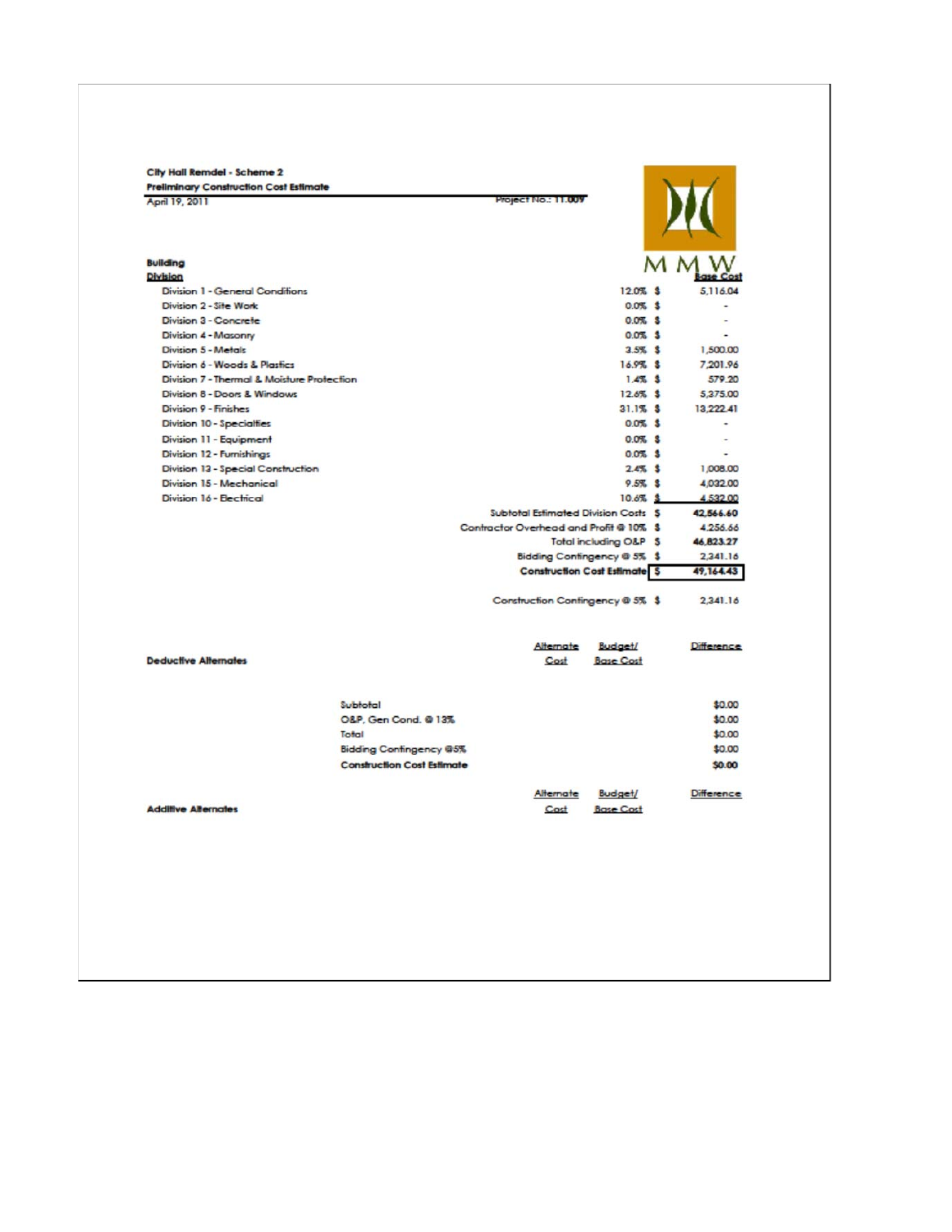| <b>Preliminary Construction Cost Estimate</b> |                                   |                                         |                                     |                   |
|-----------------------------------------------|-----------------------------------|-----------------------------------------|-------------------------------------|-------------------|
| April 19, 2011                                |                                   | Project No.: 11.009                     |                                     |                   |
| <b>Building</b>                               |                                   |                                         |                                     |                   |
| Division                                      |                                   |                                         |                                     |                   |
| Division 1 - General Conditions               |                                   |                                         | 12.0% \$                            | 5.116.04          |
| Division 2 - Site Work                        |                                   |                                         | $0.0%$ \$                           |                   |
| Division 3 - Concrete                         |                                   |                                         | $0.0%$ \$                           |                   |
| Division 4 - Masonry                          |                                   |                                         | $0.0\%$ \$                          |                   |
| Division 5 - Metals                           |                                   |                                         | $3.5%$ \$                           | 1,500.00          |
| Division 6 - Woods & Plastics                 |                                   |                                         | 16.9% \$                            | 7,201.96          |
| Division 7 - Thermal & Moisture Protection    |                                   |                                         | $1.4%$ \$                           | 579.20            |
| Division 8 - Doors & Windows                  |                                   |                                         | 12.6% \$                            | 5,375.00          |
| Division 9 - Finishes                         |                                   |                                         | $31.1%$ \$                          | 13.222.41         |
| Division 10 - Specialties                     |                                   |                                         | $0.0%$ \$                           |                   |
| Division 11 - Equipment                       |                                   |                                         | $0.0%$ \$                           |                   |
| Division 12 - Furnishings                     |                                   |                                         | $0.0%$ \$                           | ٠                 |
| Division 13 - Special Construction            |                                   |                                         | $2.4\%$ \$                          | 1,008.00          |
| Division 15 - Mechanical                      |                                   |                                         | $9.5%$ \$                           | 4,032.00          |
| Division 16 - Electrical                      |                                   |                                         | 10.6% \$                            | 4,532.00          |
|                                               |                                   | Subtotal Estimated Division Costs S     |                                     | 42,566.60         |
|                                               |                                   | Contractor Overhead and Profit @ 10% \$ |                                     | 4,256.66          |
|                                               |                                   |                                         | Total including O&P \$              | 46.823.27         |
|                                               |                                   |                                         | Bidding Contingency @ 5% \$         | 2,341.16          |
|                                               |                                   |                                         | <b>Construction Cost Estimate S</b> | 49,164.43         |
|                                               |                                   | Construction Contingency @ 5% \$        |                                     | 2,341.16          |
|                                               |                                   | Alternate                               | <b>Budget/</b>                      | <b>Difference</b> |
| <b>Deductive Alternates</b>                   |                                   | Cost                                    | <b>Base Cost</b>                    |                   |
|                                               | Subtotal                          |                                         |                                     | \$0.00            |
|                                               | O&P, Gen Cond. @ 13%              |                                         |                                     | \$0.00            |
|                                               | Total                             |                                         |                                     | \$0.00            |
|                                               | <b>Bidding Contingency @5%</b>    |                                         |                                     | \$0.00            |
|                                               | <b>Construction Cost Estimate</b> |                                         |                                     | \$0.00            |
|                                               |                                   | Alternate                               | <b>Budget/</b>                      | Difference        |
| <b>Additive Alternates</b>                    |                                   | Cost                                    | <b>Base Cost</b>                    |                   |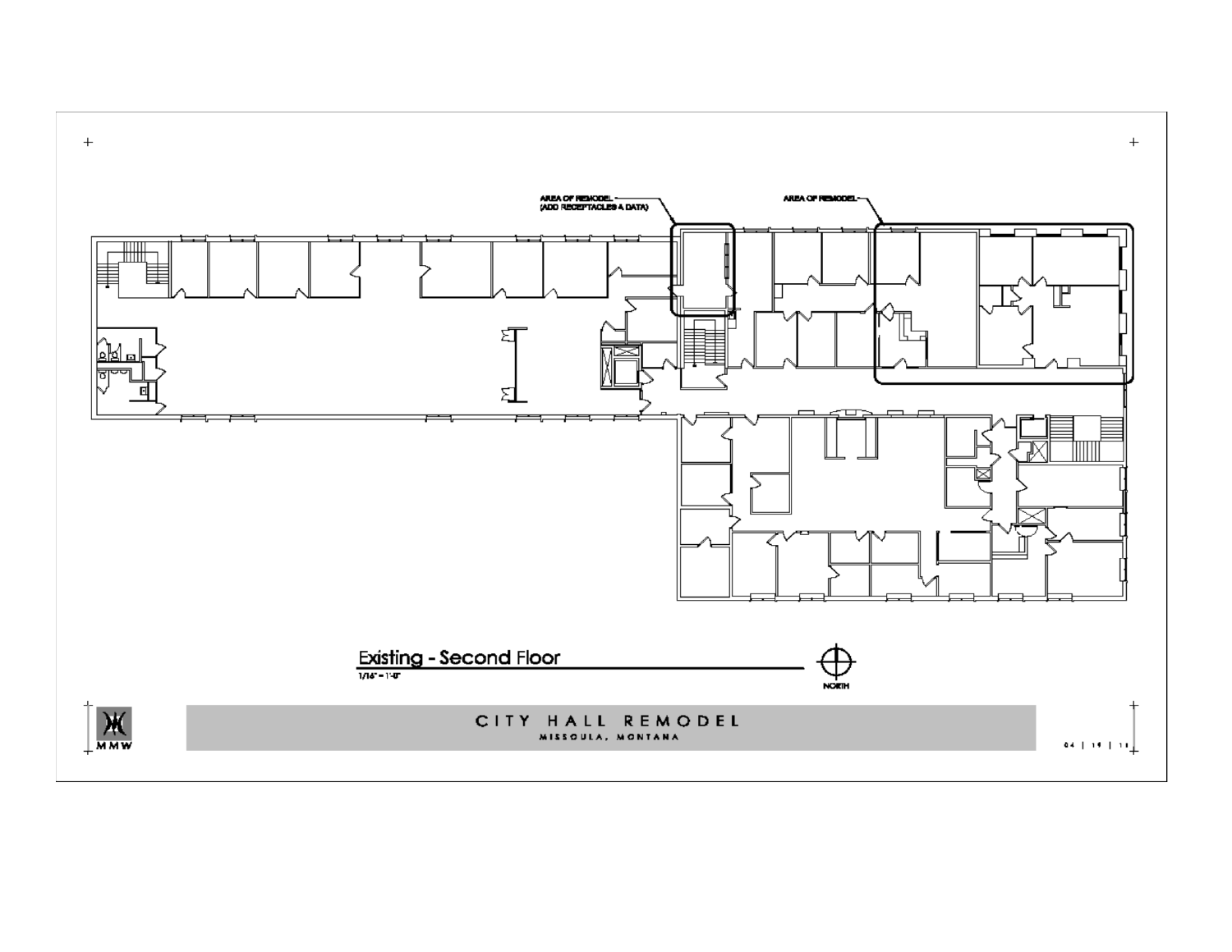

 $+$ 

 $+$